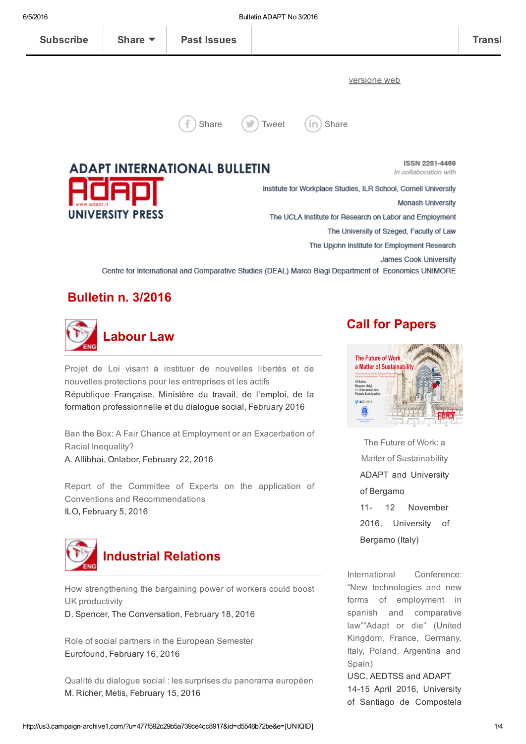[versione](http://us3.campaign-archive1.com/?u=477f592c29b5a739ce4cc8917&id=d5546b72be&e=[UNIQID]) web



[Share](http://www.linkedin.com/shareArticle?url=http%3A%2F%2Feepurl.com%2FbRHPMT&mini=true&title=Bulletin+ADAPT+No+3%2F2016)  $(\bullet)$  [Tweet](http://twitter.com/intent/tweet?text=Bulletin+ADAPT+No+3%2F2016:%20http%3A%2F%2Feepurl.com%2FbRHPMT)  $(\mathsf{in})$  Share

**ADAPT INTERNATIONAL BULLETIN UNIVERSITY PRESS** 

**ISSN 2281-4469** In collaboration with

Institute for Workplace Studies, ILR School, Cornell University Monash University The UCLA Institute for Research on Labor and Employment The University of Szeged, Faculty of Law The Upjohn Institute for Employment Research James Cook University Centre for International and Comparative Studies (DEAL) Marco Biagi Department of Economics UNIMORE

## Bulletin n. 3/2016



Projet de Loi visant à instituer de nouvelles libertés et de nouvelles protections pour les [entreprises](http://revuefiduciaire.grouperf.com/plussurlenet/complements/PJL_18fev16_CE.pdf) et les actifs République Française. Ministère du travail, de l'emploi, de la formation professionnelle et du dialogue social, February 2016

Ban the Box: A Fair Chance at Employment or an [Exacerbation](http://onlabor.org/2016/02/22/ban-the-box-a-fair-chance-at-employment-or-an-exacerbation-of-racial-inequality/) of Racial Inequality? A. Allibhai, Onlabor, February 22, 2016

Report of the Committee of Experts on the application of Conventions and [Recommendations](http://www.ilo.org/wcmsp5/groups/public/---ed_norm/---relconf/documents/meetingdocument/wcms_448720.pdf) ILO, February 5, 2016



How [strengthening](https://theconversation.com/how-strengthening-the-bargaining-power-of-workers-could-boost-uk-productivity-54921?utm_medium=email&utm_campaign=Latest%20from%20The%20Conversation%20for%20February%2019%202016%20-%204332&utm_content=Latest%20from%20The%20Conversation%20for%20February%2019%202016%20-%204332+CID_826e97a5e439f9c96ce760bd758cc561&utm_source=campaign_monitor_uk&utm_term=How%20strengthening%20the%20bargaining%20power%20of%20workers%20could%20boost%20UK%20productivity) the bargaining power of workers could boost UK productivity

D. Spencer, The Conversation, February 18, 2016

Role of social partners in the [European](http://www.eurofound.europa.eu/sites/default/files/ef_publication/field_ef_document/ef1570en.pdf) Semester Eurofound, February 16, 2016

Qualité du dialogue social : les surprises du [panorama](http://www.metiseurope.eu/qualite-du-dialogue-social-les-surprises-du-panorama-europeen_fr_70_art_30298.html#.VsM7Lp7Avp0.twitter) européen M. Richer, Metis, February 15, 2016

### Call for Papers



The Future of Work: a Matter of [Sustainability](http://adapt.it/englishbulletin/wp/3984-2/) ADAPT and University of Bergamo 11- 12 November 2016, University of Bergamo (Italy)

International Conference: "New [technologies](http://adapt.it/englishbulletin/wp/events/international-conference-new-technologies-and-new-forms-of-employment-in-spanish-and-comparative-law-adapt-or-die-united-kingdom-france-germany-italy-poland-argentina-and/) and new forms of employment in spanish and comparative law""Adapt or die" (United Kingdom, France, Germany, Italy, Poland, Argentina and Spain)

USC, AEDTSS and ADAPT 14-15 April 2016, University of Santiago de Compostela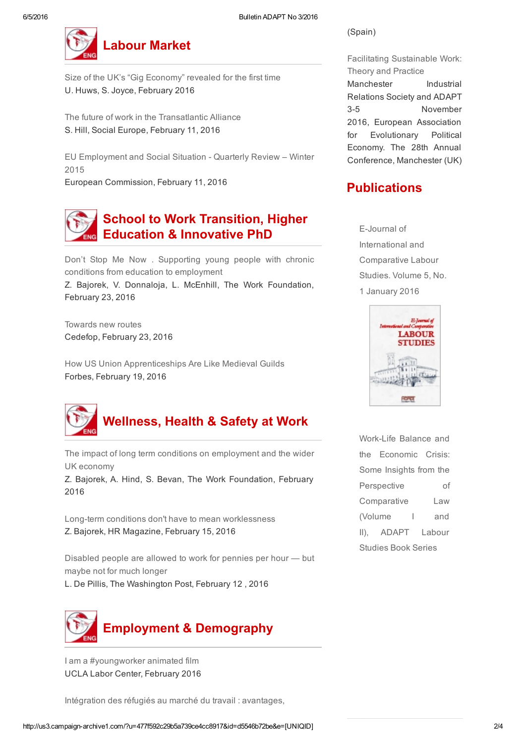

Size of the UK's "Gig [Economy"](http://www.feps-europe.eu/assets/a82bcd12-fb97-43a6-9346-24242695a183/crowd-working-surveypdf.pdf) revealed for the first time U. Huws, S. Joyce, February 2016

The future of work in the [Transatlantic](https://www.socialeurope.eu/2016/02/the-future-of-work-in-the-transatlantic-alliance/) Alliance S. Hill, Social Europe, February 11, 2016

EU [Employment](http://ec.europa.eu/social/main.jsp?catId=737&langId=en&pubId=7877) and Social Situation Quarterly Review – Winter 2015

European Commission, February 11, 2016

# School to Work Transition, Higher Education & Innovative PhD

Don't Stop Me Now . Supporting young people with chronic conditions from education to [employment](http://www.theworkfoundation.com/DownloadPublication/Report/399_Don)

Z. Bajorek, V. Donnaloja, L. McEnhill, The Work Foundation, February 23, 2016

[Towards](http://www.cedefop.europa.eu/files/9108_en.pdf) new routes Cedefop, February 23, 2016

How US Union [Apprenticeships](http://www.forbes.com/sites/timworstall/2016/02/19/how-us-union-apprenticeships-are-like-medieval-guilds/#385e8e2379ad) Are Like Medieval Guilds Forbes, February 19, 2016



The impact of long term conditions on [employment](http://www.theworkfoundation.com/DownloadPublication/Report/397_The%20impact%20of%20long%20term%20conditions%20on%20the%20economy.pdf) and the wider UK economy

Z. Bajorek, A. Hind, S. Bevan, The Work Foundation, February 2016

Long-term conditions don't have to mean [worklessness](http://www.hrmagazine.co.uk/article-details/long-term-conditions-dont-have-to-mean-worklessness-1) Z. Bajorek, HR Magazine, February 15, 2016

[Disabled](https://www.washingtonpost.com/news/wonk/wp/2016/02/12/disabled-people-are-allowed-to-work-for-pennies-per-hour-but-maybe-not-for-much-longer/?postshare=4181455637481432&tid=ss_tw) people are allowed to work for pennies per hour — but maybe not for much longer

L. De Pillis, The Washington Post, February 12 , 2016



I am a [#youngworker](http://www.labor.ucla.edu/i-am-a-youngworker-film/) animated film UCLA Labor Center, February 2016

Intégration des réfugiés au marché du travail : [avantages,](http://www.europarl.europa.eu/news/fr/news-room/20160218STO14834/Int%C3%A9gration-des-r%C3%A9fugi%C3%A9s-au-march%C3%A9-du-travail-avantages-opportunit%C3%A9s-et-d%C3%A9fis)

(Spain)

Facilitating [Sustainable](http://adapt.it/englishbulletin/wp/events/facilitating-sustainable-work-theory-and-practice/) Work: Theory and Practice Manchester Industrial Relations Society and ADAPT 35 November 2016, European Association for Evolutionary Political Economy. The 28th Annual Conference, Manchester (UK)

## **Publications**

E-Journal of International and [Comparative](http://www.adapt.it/EJCLS/index.php/ejcls_adapt/issue/current) Labour Studies. Volume 5, No. 1 January 2016



Work-Life Balance and the Economic Crisis: Some Insights from the Perspective of [Comparative](http://adapt.it/englishbulletin/wp/adapt-labor-studies-book-series/) Law (Volume I and II), ADAPT Labour Studies Book Series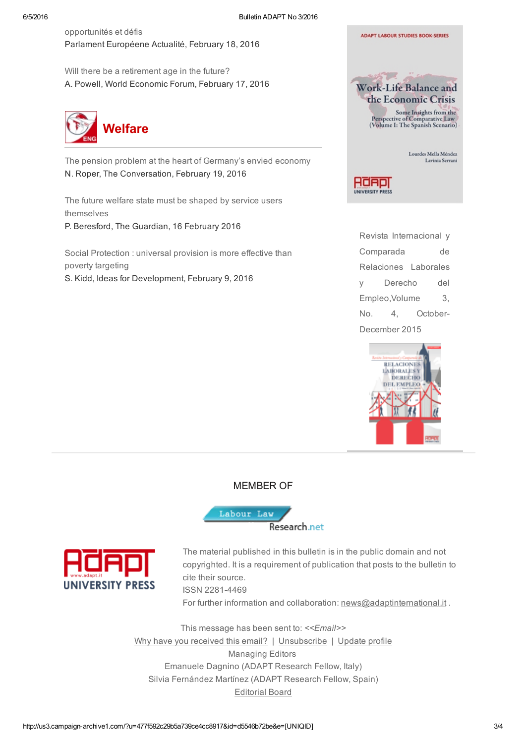[opportunités](http://www.europarl.europa.eu/news/fr/news-room/20160218STO14834/Int%C3%A9gration-des-r%C3%A9fugi%C3%A9s-au-march%C3%A9-du-travail-avantages-opportunit%C3%A9s-et-d%C3%A9fis) et défis Parlament Européene Actualité, February 18, 2016

Will there be a [retirement](https://www.weforum.org/agenda/2016/02/will-there-be-a-retirement-age-in-the-future/?utm_content=buffer59e59&utm_medium=social&utm_source=twitter.com&utm_campaign=buffer) age in the future? A. Powell, World Economic Forum, February 17, 2016



The pension problem at the heart of [Germany's](https://theconversation.com/the-pension-problem-at-the-heart-of-germanys-envied-economy-54360?utm_medium=email&utm_campaign=The%20Weekend%20Conversation%20-%204338&utm_content=The%20Weekend%20Conversation%20-%204338+CID_390ebf4428981797ef4a0e605aa566e9&utm_source=campaign_monitor_uk&utm_term=The%20pension%20problem%20at%20the%20heart%20of%20Germanys%20envied%20economy) envied economy N. Roper, The Conversation, February 19, 2016

The future welfare state must be shaped by service users [themselves](http://www.theguardian.com/society/2016/feb/16/future-welfare-state-shaped-by-service-users) P. Beresford, The Guardian, 16 February 2016

Social [Protection](http://ideas4development.org/en/social-protection-universal-provision-is-more-effective-than-poverty-targeting/) : universal provision is more effective than poverty targeting S. Kidd, Ideas for Development, February 9, 2016



Adaol UNIVERSITY PRESS

> Revista Internacional y Comparada de Relaciones Laborales y Derecho del [Empleo,Volume](http://www.adapt.it/EJCLS/index.php/rlde_adapt/issue/current) 3, No. 4, October-December 2015



#### MEMBER OF





The material published in this bulletin is in the public domain and not copyrighted. It is a requirement of publication that posts to the bulletin to cite their source.

**ISSN 2281-4469** 

For further information and collaboration: [news@adaptinternational.it](mailto:news@adaptinternational.it) .

This message has been sent to: *<<Email>>* Why have you [received](http://www.bollettinoadapt.it/perche-lo-hai-ricevuto/) this email? | [Unsubscribe](http://adapt.us3.list-manage.com/unsubscribe?u=477f592c29b5a739ce4cc8917&id=268e965967&e=[UNIQID]&c=d5546b72be) | [Update](http://adapt.us3.list-manage1.com/profile?u=477f592c29b5a739ce4cc8917&id=268e965967&e=[UNIQID]) profile Managing Editors Emanuele Dagnino (ADAPT Research Fellow, Italy) Silvia Fernández Martínez (ADAPT Research Fellow, Spain) [Editorial](http://adapt.it/englishbulletin/wp/list/) Board